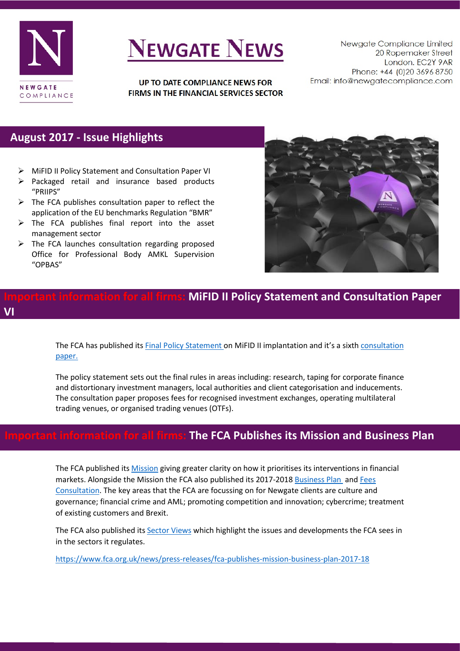

# **NEWGATE NEWS**

UP TO DATE COMPLIANCE NEWS FOR FIRMS IN THE FINANCIAL SERVICES SECTOR

Newgate Compliance Limited 20 Ropemaker Street London. EC2Y 9AR Phone: +44 (0)20 3696 8750 Email: info@newgatecompliance.com

### **August 2017 - Issue Highlights**

- MiFID II Policy Statement and Consultation Paper VI
- $\triangleright$  Packaged retail and insurance based products "PRIIPS"
- $\triangleright$  The FCA publishes consultation paper to reflect the application of the EU benchmarks Regulation "BMR"
- $\triangleright$  The FCA publishes final report into the asset management sector
- $\triangleright$  The FCA launches consultation regarding proposed Office for Professional Body AMKL Supervision "OPBAS"



### **Indiant information for all firms: MiFID II Policy Statement and Consultation Paper VI**

The FCA has published its **Final Policy Statement on MiFID II implantation and it's a sixth consultation** [paper.](https://www.fca.org.uk/publications/consultation-papers/cp17-19-mifid-ii-implementation)

The policy statement sets out the final rules in areas including: research, taping for corporate finance and distortionary investment managers, local authorities and client categorisation and inducements. The consultation paper proposes fees for recognised investment exchanges, operating multilateral trading venues, or organised trading venues (OTFs).

# **Important information for all firms: The FCA Publishes its Mission and Business Plan**

The FCA published its [Mission](https://www.fca.org.uk/publications/corporate-documents/our-mission) giving greater clarity on how it prioritises its interventions in financial markets. Alongside the Mission the FCA also published its 2017-201[8 Business Plan a](https://www.fca.org.uk/publications/corporate-documents/our-business-plan-2017-18)nd [Fees](https://www.fca.org.uk/publications/policy-statements/ps17-15-fca-regulated-fees-levies-2017-18)  [Consultation.](https://www.fca.org.uk/publications/policy-statements/ps17-15-fca-regulated-fees-levies-2017-18) The key areas that the FCA are focussing on for Newgate clients are culture and governance; financial crime and AML; promoting competition and innovation; cybercrime; treatment of existing customers and Brexit.

The FCA also published it[s Sector Views](https://www.fca.org.uk/publications/corporate-documents/sector-views) which highlight the issues and developments the FCA sees in in the sectors it regulates.

<https://www.fca.org.uk/news/press-releases/fca-publishes-mission-business-plan-2017-18>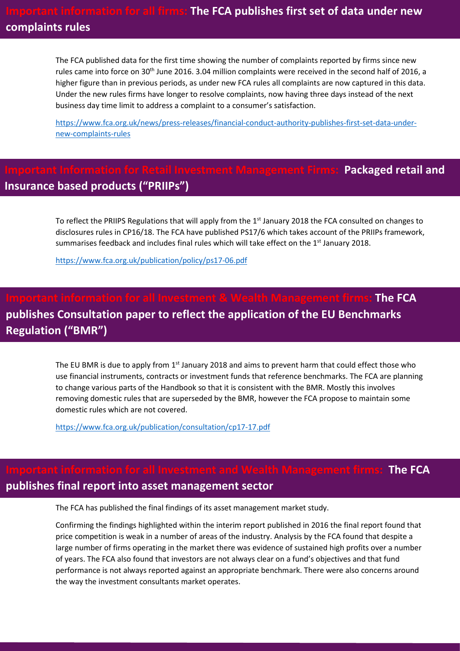The FCA published data for the first time showing the number of complaints reported by firms since new rules came into force on 30<sup>th</sup> June 2016. 3.04 million complaints were received in the second half of 2016, a higher figure than in previous periods, as under new FCA rules all complaints are now captured in this data. Under the new rules firms have longer to resolve complaints, now having three days instead of the next business day time limit to address a complaint to a consumer's satisfaction.

[https://www.fca.org.uk/news/press-releases/financial-conduct-authority-publishes-first-set-data-under](https://www.fca.org.uk/news/press-releases/financial-conduct-authority-publishes-first-set-data-under-new-complaints-rules)[new-complaints-rules](https://www.fca.org.uk/news/press-releases/financial-conduct-authority-publishes-first-set-data-under-new-complaints-rules) 

### **Packaged retail and Insurance based products ("PRIIPs")**

To reflect the PRIIPS Regulations that will apply from the 1<sup>st</sup> January 2018 the FCA consulted on changes to disclosures rules in CP16/18. The FCA have published PS17/6 which takes account of the PRIIPs framework, summarises feedback and includes final rules which will take effect on the  $1<sup>st</sup>$  January 2018.

<https://www.fca.org.uk/publication/policy/ps17-06.pdf>

# **Important information for all Investment & Wealth Management firms: The FCA publishes Consultation paper to reflect the application of the EU Benchmarks Regulation ("BMR")**

The EU BMR is due to apply from  $1<sup>st</sup>$  January 2018 and aims to prevent harm that could effect those who use financial instruments, contracts or investment funds that reference benchmarks. The FCA are planning to change various parts of the Handbook so that it is consistent with the BMR. Mostly this involves removing domestic rules that are superseded by the BMR, however the FCA propose to maintain some domestic rules which are not covered.

<https://www.fca.org.uk/publication/consultation/cp17-17.pdf>

### **Import The FCA publishes final report into asset management sector**

The FCA has published the final findings of its asset management market study.

Confirming the findings highlighted within the interim report published in 2016 the final report found that price competition is weak in a number of areas of the industry. Analysis by the FCA found that despite a large number of firms operating in the market there was evidence of sustained high profits over a number of years. The FCA also found that investors are not always clear on a fund's objectives and that fund performance is not always reported against an appropriate benchmark. There were also concerns around the way the investment consultants market operates.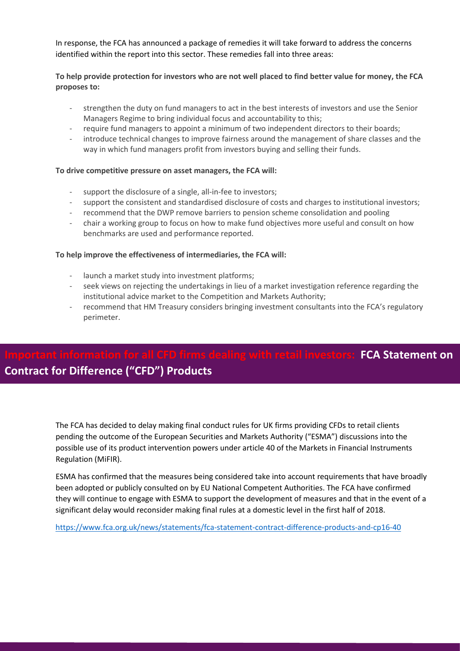In response, the FCA has announced a package of remedies it will take forward to address the concerns identified within the report into this sector. These remedies fall into three areas:

#### **To help provide protection for investors who are not well placed to find better value for money, the FCA proposes to:**

- strengthen the duty on fund managers to act in the best interests of investors and use the Senior Managers Regime to bring individual focus and accountability to this;
- require fund managers to appoint a minimum of two independent directors to their boards;
- introduce technical changes to improve fairness around the management of share classes and the way in which fund managers profit from investors buying and selling their funds.

#### **To drive competitive pressure on asset managers, the FCA will:**

- support the disclosure of a single, all-in-fee to investors;
- support the consistent and standardised disclosure of costs and charges to institutional investors;
- recommend that the DWP remove barriers to pension scheme consolidation and pooling
- chair a working group to focus on how to make fund objectives more useful and consult on how benchmarks are used and performance reported.

#### **To help improve the effectiveness of intermediaries, the FCA will:**

- launch a market study into investment platforms;
- seek views on rejecting the undertakings in lieu of a market investigation reference regarding the institutional advice market to the Competition and Markets Authority;
- recommend that HM Treasury considers bringing investment consultants into the FCA's regulatory perimeter.

## **Information FCA Statement on Contract for Difference ("CFD") Products**

The FCA has decided to delay making final conduct rules for UK firms providing CFDs to retail clients pending the outcome of the European Securities and Markets Authority ("ESMA") discussions into the possible use of its product intervention powers under article 40 of the Markets in Financial Instruments Regulation (MiFIR).

ESMA has confirmed that the measures being considered take into account requirements that have broadly been adopted or publicly consulted on by EU National Competent Authorities. The FCA have confirmed they will continue to engage with ESMA to support the development of measures and that in the event of a significant delay would reconsider making final rules at a domestic level in the first half of 2018.

<https://www.fca.org.uk/news/statements/fca-statement-contract-difference-products-and-cp16-40>